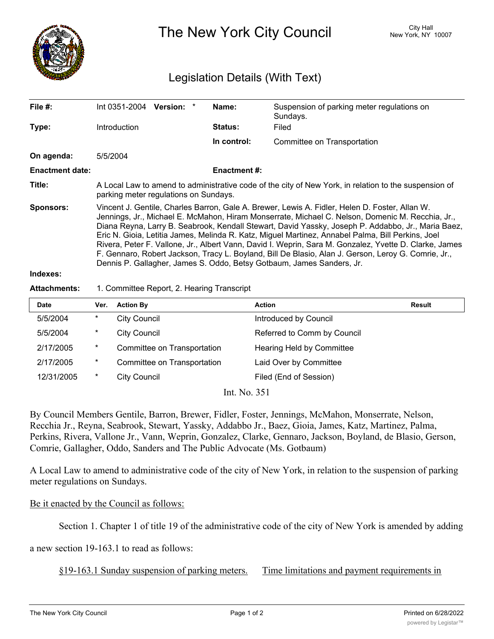

The New York City Council New York, NY 10007

## Legislation Details (With Text)

| File $#$ :             | Int 0351-2004 Version: *                                                                                                                                                                                                                                                                                                                                                                                                                                                                                                                                                                                                                                                                                |  |  | Name:          | Suspension of parking meter regulations on<br>Sundays. |  |  |
|------------------------|---------------------------------------------------------------------------------------------------------------------------------------------------------------------------------------------------------------------------------------------------------------------------------------------------------------------------------------------------------------------------------------------------------------------------------------------------------------------------------------------------------------------------------------------------------------------------------------------------------------------------------------------------------------------------------------------------------|--|--|----------------|--------------------------------------------------------|--|--|
| Type:                  | Introduction                                                                                                                                                                                                                                                                                                                                                                                                                                                                                                                                                                                                                                                                                            |  |  | <b>Status:</b> | Filed                                                  |  |  |
|                        |                                                                                                                                                                                                                                                                                                                                                                                                                                                                                                                                                                                                                                                                                                         |  |  | In control:    | Committee on Transportation                            |  |  |
| On agenda:             | 5/5/2004                                                                                                                                                                                                                                                                                                                                                                                                                                                                                                                                                                                                                                                                                                |  |  |                |                                                        |  |  |
| <b>Enactment date:</b> | <b>Enactment #:</b>                                                                                                                                                                                                                                                                                                                                                                                                                                                                                                                                                                                                                                                                                     |  |  |                |                                                        |  |  |
| Title:                 | A Local Law to amend to administrative code of the city of New York, in relation to the suspension of<br>parking meter regulations on Sundays.                                                                                                                                                                                                                                                                                                                                                                                                                                                                                                                                                          |  |  |                |                                                        |  |  |
| <b>Sponsors:</b>       | Vincent J. Gentile, Charles Barron, Gale A. Brewer, Lewis A. Fidler, Helen D. Foster, Allan W.<br>Jennings, Jr., Michael E. McMahon, Hiram Monserrate, Michael C. Nelson, Domenic M. Recchia, Jr.,<br>Diana Reyna, Larry B. Seabrook, Kendall Stewart, David Yassky, Joseph P. Addabbo, Jr., Maria Baez,<br>Eric N. Gioia, Letitia James, Melinda R. Katz, Miguel Martinez, Annabel Palma, Bill Perkins, Joel<br>Rivera, Peter F. Vallone, Jr., Albert Vann, David I. Weprin, Sara M. Gonzalez, Yvette D. Clarke, James<br>F. Gennaro, Robert Jackson, Tracy L. Boyland, Bill De Blasio, Alan J. Gerson, Leroy G. Comrie, Jr.,<br>Dennis P. Gallagher, James S. Oddo, Betsy Gotbaum, James Sanders, Jr. |  |  |                |                                                        |  |  |
| Indexes:               |                                                                                                                                                                                                                                                                                                                                                                                                                                                                                                                                                                                                                                                                                                         |  |  |                |                                                        |  |  |

## **Attachments:** 1. Committee Report, 2. Hearing Transcript

| Date       | Ver.    | <b>Action By</b>            | <b>Action</b>               | Result |
|------------|---------|-----------------------------|-----------------------------|--------|
| 5/5/2004   | $\ast$  | <b>City Council</b>         | Introduced by Council       |        |
| 5/5/2004   | $\ast$  | <b>City Council</b>         | Referred to Comm by Council |        |
| 2/17/2005  | $\star$ | Committee on Transportation | Hearing Held by Committee   |        |
| 2/17/2005  | $\ast$  | Committee on Transportation | Laid Over by Committee      |        |
| 12/31/2005 | $\ast$  | <b>City Council</b>         | Filed (End of Session)      |        |

Int. No. 351

By Council Members Gentile, Barron, Brewer, Fidler, Foster, Jennings, McMahon, Monserrate, Nelson, Recchia Jr., Reyna, Seabrook, Stewart, Yassky, Addabbo Jr., Baez, Gioia, James, Katz, Martinez, Palma, Perkins, Rivera, Vallone Jr., Vann, Weprin, Gonzalez, Clarke, Gennaro, Jackson, Boyland, de Blasio, Gerson, Comrie, Gallagher, Oddo, Sanders and The Public Advocate (Ms. Gotbaum)

A Local Law to amend to administrative code of the city of New York, in relation to the suspension of parking meter regulations on Sundays.

Be it enacted by the Council as follows:

Section 1. Chapter 1 of title 19 of the administrative code of the city of New York is amended by adding

a new section 19-163.1 to read as follows:

§19-163.1 Sunday suspension of parking meters. Time limitations and payment requirements in